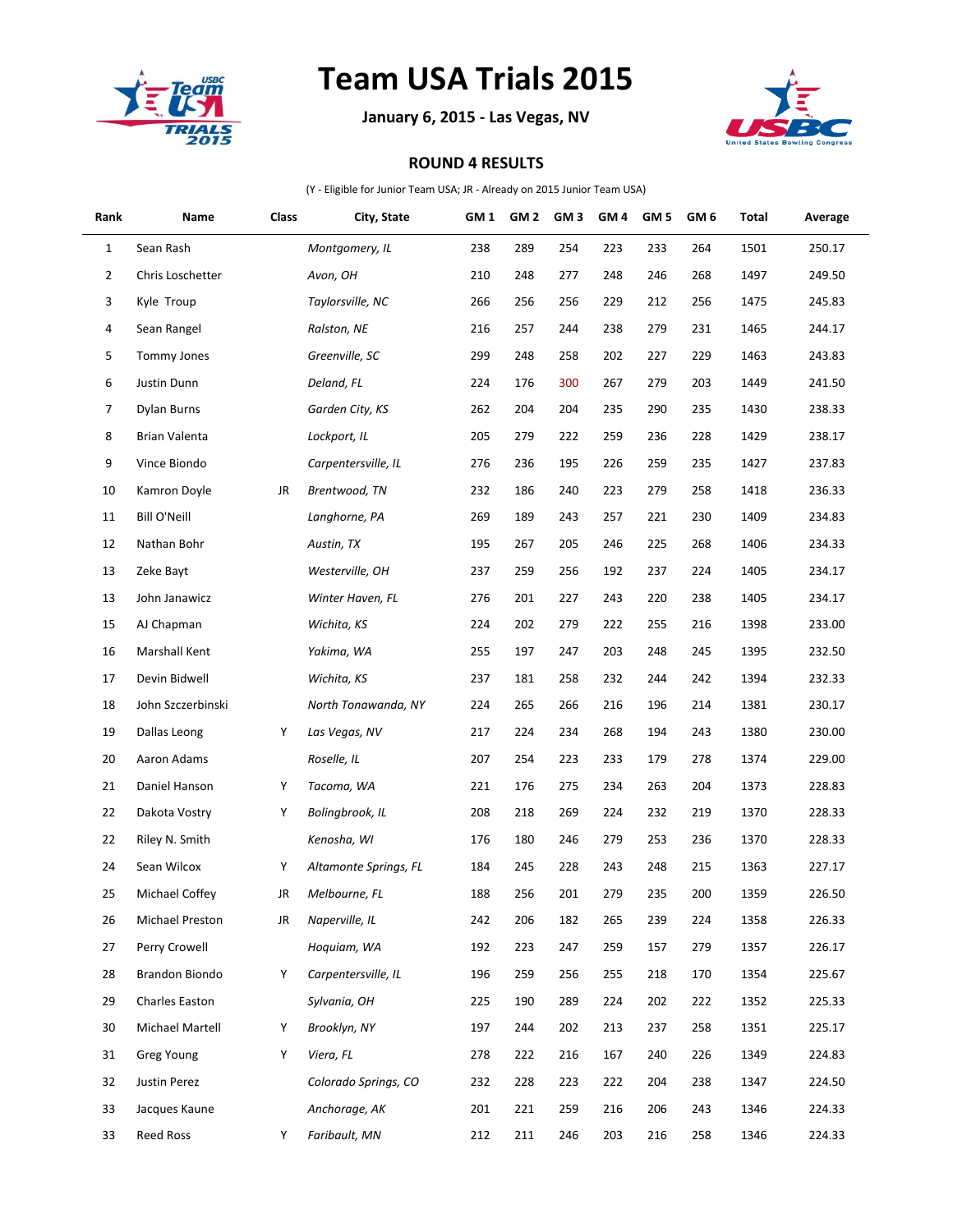

## **Team USA Trials 2015**

**January 6, 2015 - Las Vegas, NV**



## **ROUND 4 RESULTS**

(Y - Eligible for Junior Team USA; JR - Already on 2015 Junior Team USA)

| Rank | Name                | Class | City, State           | GM 1 | GM <sub>2</sub> | GM <sub>3</sub> | GM <sub>4</sub> | GM <sub>5</sub> | GM <sub>6</sub> | Total | Average |
|------|---------------------|-------|-----------------------|------|-----------------|-----------------|-----------------|-----------------|-----------------|-------|---------|
| 1    | Sean Rash           |       | Montgomery, IL        | 238  | 289             | 254             | 223             | 233             | 264             | 1501  | 250.17  |
| 2    | Chris Loschetter    |       | Avon, OH              | 210  | 248             | 277             | 248             | 246             | 268             | 1497  | 249.50  |
| 3    | Kyle Troup          |       | Taylorsville, NC      | 266  | 256             | 256             | 229             | 212             | 256             | 1475  | 245.83  |
| 4    | Sean Rangel         |       | Ralston, NE           | 216  | 257             | 244             | 238             | 279             | 231             | 1465  | 244.17  |
| 5    | <b>Tommy Jones</b>  |       | Greenville, SC        | 299  | 248             | 258             | 202             | 227             | 229             | 1463  | 243.83  |
| 6    | Justin Dunn         |       | Deland, FL            | 224  | 176             | 300             | 267             | 279             | 203             | 1449  | 241.50  |
| 7    | Dylan Burns         |       | Garden City, KS       | 262  | 204             | 204             | 235             | 290             | 235             | 1430  | 238.33  |
| 8    | Brian Valenta       |       | Lockport, IL          | 205  | 279             | 222             | 259             | 236             | 228             | 1429  | 238.17  |
| 9    | Vince Biondo        |       | Carpentersville, IL   | 276  | 236             | 195             | 226             | 259             | 235             | 1427  | 237.83  |
| 10   | Kamron Doyle        | JR    | Brentwood, TN         | 232  | 186             | 240             | 223             | 279             | 258             | 1418  | 236.33  |
| 11   | <b>Bill O'Neill</b> |       | Langhorne, PA         | 269  | 189             | 243             | 257             | 221             | 230             | 1409  | 234.83  |
| 12   | Nathan Bohr         |       | Austin, TX            | 195  | 267             | 205             | 246             | 225             | 268             | 1406  | 234.33  |
| 13   | Zeke Bayt           |       | Westerville, OH       | 237  | 259             | 256             | 192             | 237             | 224             | 1405  | 234.17  |
| 13   | John Janawicz       |       | Winter Haven, FL      | 276  | 201             | 227             | 243             | 220             | 238             | 1405  | 234.17  |
| 15   | AJ Chapman          |       | Wichita, KS           | 224  | 202             | 279             | 222             | 255             | 216             | 1398  | 233.00  |
| 16   | Marshall Kent       |       | Yakima, WA            | 255  | 197             | 247             | 203             | 248             | 245             | 1395  | 232.50  |
| 17   | Devin Bidwell       |       | Wichita, KS           | 237  | 181             | 258             | 232             | 244             | 242             | 1394  | 232.33  |
| 18   | John Szczerbinski   |       | North Tonawanda, NY   | 224  | 265             | 266             | 216             | 196             | 214             | 1381  | 230.17  |
| 19   | Dallas Leong        | Y     | Las Vegas, NV         | 217  | 224             | 234             | 268             | 194             | 243             | 1380  | 230.00  |
| 20   | Aaron Adams         |       | Roselle, IL           | 207  | 254             | 223             | 233             | 179             | 278             | 1374  | 229.00  |
| 21   | Daniel Hanson       | Y     | Tacoma, WA            | 221  | 176             | 275             | 234             | 263             | 204             | 1373  | 228.83  |
| 22   | Dakota Vostry       | Y     | Bolingbrook, IL       | 208  | 218             | 269             | 224             | 232             | 219             | 1370  | 228.33  |
| 22   | Riley N. Smith      |       | Kenosha, WI           | 176  | 180             | 246             | 279             | 253             | 236             | 1370  | 228.33  |
| 24   | Sean Wilcox         | Υ     | Altamonte Springs, FL | 184  | 245             | 228             | 243             | 248             | 215             | 1363  | 227.17  |
| 25   | Michael Coffey      | JR    | Melbourne, FL         | 188  | 256             | 201             | 279             | 235             | 200             | 1359  | 226.50  |
| 26   | Michael Preston     | JR    | Naperville, IL        | 242  | 206             | 182             | 265             | 239             | 224             | 1358  | 226.33  |
| 27   | Perry Crowell       |       | Hoquiam, WA           | 192  | 223             | 247             | 259             | 157             | 279             | 1357  | 226.17  |
| 28   | Brandon Biondo      | Y     | Carpentersville, IL   | 196  | 259             | 256             | 255             | 218             | 170             | 1354  | 225.67  |
| 29   | Charles Easton      |       | Sylvania, OH          | 225  | 190             | 289             | 224             | 202             | 222             | 1352  | 225.33  |
| 30   | Michael Martell     | Υ     | Brooklyn, NY          | 197  | 244             | 202             | 213             | 237             | 258             | 1351  | 225.17  |
| 31   | Greg Young          | Y     | Viera, FL             | 278  | 222             | 216             | 167             | 240             | 226             | 1349  | 224.83  |
| 32   | Justin Perez        |       | Colorado Springs, CO  | 232  | 228             | 223             | 222             | 204             | 238             | 1347  | 224.50  |
| 33   | Jacques Kaune       |       | Anchorage, AK         | 201  | 221             | 259             | 216             | 206             | 243             | 1346  | 224.33  |
| 33   | Reed Ross           | Y     | Faribault, MN         | 212  | 211             | 246             | 203             | 216             | 258             | 1346  | 224.33  |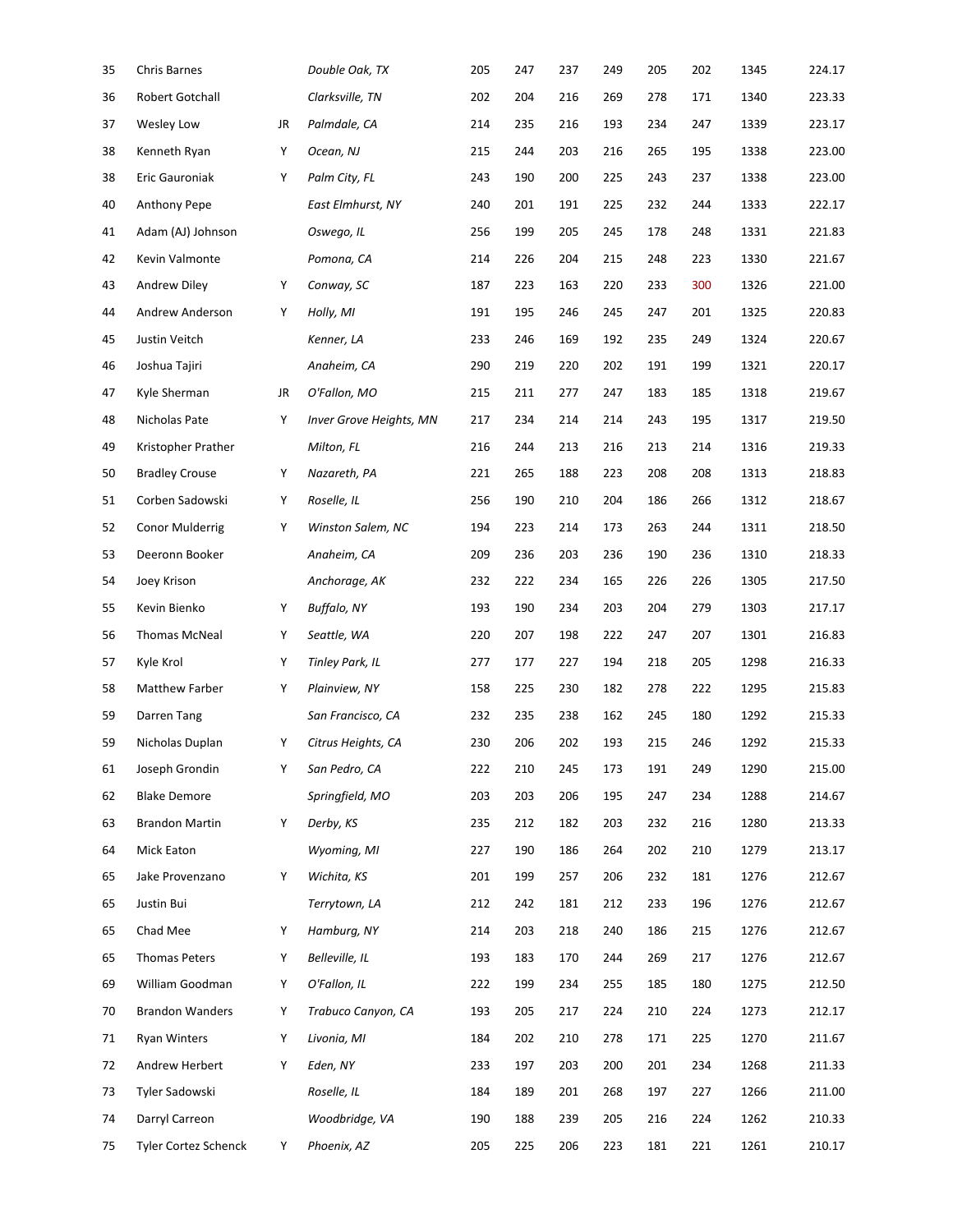| 35 | Chris Barnes           |    | Double Oak, TX                 | 205 | 247 | 237 | 249 | 205 | 202 | 1345 | 224.17 |
|----|------------------------|----|--------------------------------|-----|-----|-----|-----|-----|-----|------|--------|
| 36 | Robert Gotchall        |    | Clarksville, TN                | 202 | 204 | 216 | 269 | 278 | 171 | 1340 | 223.33 |
| 37 | Wesley Low             | JR | Palmdale, CA                   | 214 | 235 | 216 | 193 | 234 | 247 | 1339 | 223.17 |
| 38 | Kenneth Ryan           | Υ  | Ocean, NJ                      | 215 | 244 | 203 | 216 | 265 | 195 | 1338 | 223.00 |
| 38 | Eric Gauroniak         | Υ  | Palm City, FL                  | 243 | 190 | 200 | 225 | 243 | 237 | 1338 | 223.00 |
| 40 | Anthony Pepe           |    | East Elmhurst, NY              | 240 | 201 | 191 | 225 | 232 | 244 | 1333 | 222.17 |
| 41 | Adam (AJ) Johnson      |    | Oswego, IL                     | 256 | 199 | 205 | 245 | 178 | 248 | 1331 | 221.83 |
| 42 | Kevin Valmonte         |    | Pomona, CA                     | 214 | 226 | 204 | 215 | 248 | 223 | 1330 | 221.67 |
| 43 | Andrew Diley           | Υ  | Conway, SC                     | 187 | 223 | 163 | 220 | 233 | 300 | 1326 | 221.00 |
| 44 | Andrew Anderson        | Υ  | Holly, MI                      | 191 | 195 | 246 | 245 | 247 | 201 | 1325 | 220.83 |
| 45 | Justin Veitch          |    | Kenner, LA                     | 233 | 246 | 169 | 192 | 235 | 249 | 1324 | 220.67 |
| 46 | Joshua Tajiri          |    | Anaheim, CA                    | 290 | 219 | 220 | 202 | 191 | 199 | 1321 | 220.17 |
| 47 | Kyle Sherman           | JR | O'Fallon, MO                   | 215 | 211 | 277 | 247 | 183 | 185 | 1318 | 219.67 |
| 48 | Nicholas Pate          | Υ  | <b>Inver Grove Heights, MN</b> | 217 | 234 | 214 | 214 | 243 | 195 | 1317 | 219.50 |
| 49 | Kristopher Prather     |    | Milton, FL                     | 216 | 244 | 213 | 216 | 213 | 214 | 1316 | 219.33 |
| 50 | <b>Bradley Crouse</b>  | Υ  | Nazareth, PA                   | 221 | 265 | 188 | 223 | 208 | 208 | 1313 | 218.83 |
| 51 | Corben Sadowski        | Υ  | Roselle, IL                    | 256 | 190 | 210 | 204 | 186 | 266 | 1312 | 218.67 |
| 52 | Conor Mulderrig        | Υ  | Winston Salem, NC              | 194 | 223 | 214 | 173 | 263 | 244 | 1311 | 218.50 |
| 53 | Deeronn Booker         |    | Anaheim, CA                    | 209 | 236 | 203 | 236 | 190 | 236 | 1310 | 218.33 |
| 54 | Joey Krison            |    | Anchorage, AK                  | 232 | 222 | 234 | 165 | 226 | 226 | 1305 | 217.50 |
| 55 | Kevin Bienko           | Υ  | Buffalo, NY                    | 193 | 190 | 234 | 203 | 204 | 279 | 1303 | 217.17 |
| 56 | Thomas McNeal          | Υ  | Seattle, WA                    | 220 | 207 | 198 | 222 | 247 | 207 | 1301 | 216.83 |
| 57 | Kyle Krol              | Υ  | Tinley Park, IL                | 277 | 177 | 227 | 194 | 218 | 205 | 1298 | 216.33 |
| 58 | Matthew Farber         | Υ  | Plainview, NY                  | 158 | 225 | 230 | 182 | 278 | 222 | 1295 | 215.83 |
| 59 | Darren Tang            |    | San Francisco, CA              | 232 | 235 | 238 | 162 | 245 | 180 | 1292 | 215.33 |
| 59 | Nicholas Duplan        | Υ  | Citrus Heights, CA             | 230 | 206 | 202 | 193 | 215 | 246 | 1292 | 215.33 |
| 61 | Joseph Grondin         | Υ  | San Pedro, CA                  | 222 | 210 | 245 | 173 | 191 | 249 | 1290 | 215.00 |
| 62 | <b>Blake Demore</b>    |    | Springfield, MO                | 203 | 203 | 206 | 195 | 247 | 234 | 1288 | 214.67 |
| 63 | <b>Brandon Martin</b>  | Υ  | Derby, KS                      | 235 | 212 | 182 | 203 | 232 | 216 | 1280 | 213.33 |
| 64 | Mick Eaton             |    | Wyoming, MI                    | 227 | 190 | 186 | 264 | 202 | 210 | 1279 | 213.17 |
| 65 | Jake Provenzano        | Υ  | Wichita, KS                    | 201 | 199 | 257 | 206 | 232 | 181 | 1276 | 212.67 |
| 65 | Justin Bui             |    | Terrytown, LA                  | 212 | 242 | 181 | 212 | 233 | 196 | 1276 | 212.67 |
| 65 | Chad Mee               | Υ  | Hamburg, NY                    | 214 | 203 | 218 | 240 | 186 | 215 | 1276 | 212.67 |
| 65 | Thomas Peters          | Υ  | Belleville, IL                 | 193 | 183 | 170 | 244 | 269 | 217 | 1276 | 212.67 |
| 69 | William Goodman        | Υ  | O'Fallon, IL                   | 222 | 199 | 234 | 255 | 185 | 180 | 1275 | 212.50 |
| 70 | <b>Brandon Wanders</b> | Υ  | Trabuco Canyon, CA             | 193 | 205 | 217 | 224 | 210 | 224 | 1273 | 212.17 |
| 71 | <b>Ryan Winters</b>    | Υ  | Livonia, MI                    | 184 | 202 | 210 | 278 | 171 | 225 | 1270 | 211.67 |
| 72 | Andrew Herbert         | Υ  | Eden, NY                       | 233 | 197 | 203 | 200 | 201 | 234 | 1268 | 211.33 |
| 73 | Tyler Sadowski         |    | Roselle, IL                    | 184 | 189 | 201 | 268 | 197 | 227 | 1266 | 211.00 |
| 74 | Darryl Carreon         |    | Woodbridge, VA                 | 190 | 188 | 239 | 205 | 216 | 224 | 1262 | 210.33 |
| 75 | Tyler Cortez Schenck   | Y  | Phoenix, AZ                    | 205 | 225 | 206 | 223 | 181 | 221 | 1261 | 210.17 |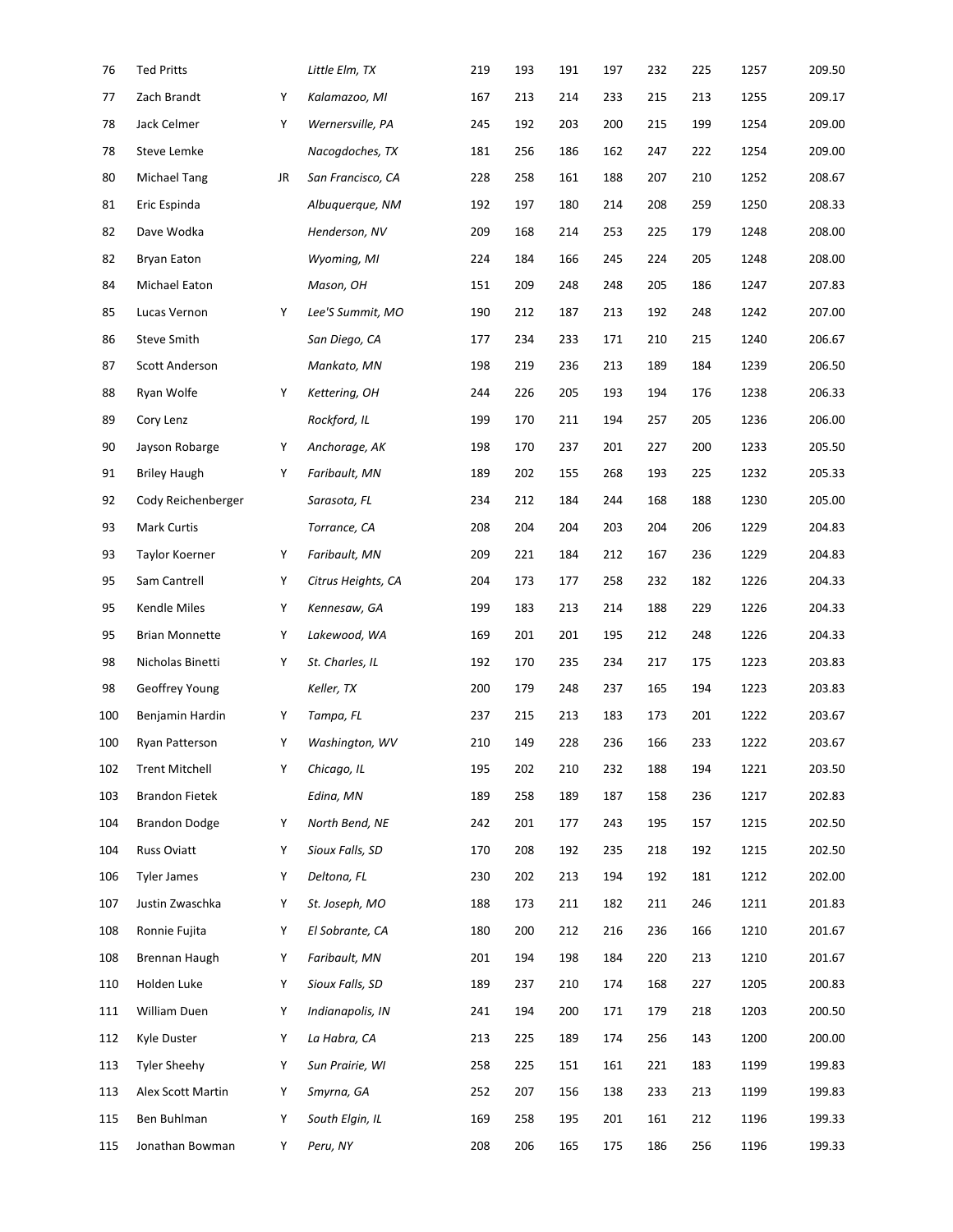| 76  | <b>Ted Pritts</b>     |    | Little Elm, TX     | 219 | 193 | 191 | 197 | 232 | 225 | 1257 | 209.50 |
|-----|-----------------------|----|--------------------|-----|-----|-----|-----|-----|-----|------|--------|
| 77  | Zach Brandt           | Υ  | Kalamazoo, MI      | 167 | 213 | 214 | 233 | 215 | 213 | 1255 | 209.17 |
| 78  | Jack Celmer           | Υ  | Wernersville, PA   | 245 | 192 | 203 | 200 | 215 | 199 | 1254 | 209.00 |
| 78  | Steve Lemke           |    | Nacogdoches, TX    | 181 | 256 | 186 | 162 | 247 | 222 | 1254 | 209.00 |
| 80  | Michael Tang          | JR | San Francisco, CA  | 228 | 258 | 161 | 188 | 207 | 210 | 1252 | 208.67 |
| 81  | Eric Espinda          |    | Albuquerque, NM    | 192 | 197 | 180 | 214 | 208 | 259 | 1250 | 208.33 |
| 82  | Dave Wodka            |    | Henderson, NV      | 209 | 168 | 214 | 253 | 225 | 179 | 1248 | 208.00 |
| 82  | Bryan Eaton           |    | Wyoming, MI        | 224 | 184 | 166 | 245 | 224 | 205 | 1248 | 208.00 |
| 84  | Michael Eaton         |    | Mason, OH          | 151 | 209 | 248 | 248 | 205 | 186 | 1247 | 207.83 |
| 85  | Lucas Vernon          | Υ  | Lee'S Summit, MO   | 190 | 212 | 187 | 213 | 192 | 248 | 1242 | 207.00 |
| 86  | <b>Steve Smith</b>    |    | San Diego, CA      | 177 | 234 | 233 | 171 | 210 | 215 | 1240 | 206.67 |
| 87  | Scott Anderson        |    | Mankato, MN        | 198 | 219 | 236 | 213 | 189 | 184 | 1239 | 206.50 |
| 88  | Ryan Wolfe            | Υ  | Kettering, OH      | 244 | 226 | 205 | 193 | 194 | 176 | 1238 | 206.33 |
| 89  | Cory Lenz             |    | Rockford, IL       | 199 | 170 | 211 | 194 | 257 | 205 | 1236 | 206.00 |
| 90  | Jayson Robarge        | Υ  | Anchorage, AK      | 198 | 170 | 237 | 201 | 227 | 200 | 1233 | 205.50 |
| 91  | <b>Briley Haugh</b>   | Y  | Faribault, MN      | 189 | 202 | 155 | 268 | 193 | 225 | 1232 | 205.33 |
| 92  | Cody Reichenberger    |    | Sarasota, FL       | 234 | 212 | 184 | 244 | 168 | 188 | 1230 | 205.00 |
| 93  | Mark Curtis           |    | Torrance, CA       | 208 | 204 | 204 | 203 | 204 | 206 | 1229 | 204.83 |
| 93  | Taylor Koerner        | Υ  | Faribault, MN      | 209 | 221 | 184 | 212 | 167 | 236 | 1229 | 204.83 |
| 95  | Sam Cantrell          | Υ  | Citrus Heights, CA | 204 | 173 | 177 | 258 | 232 | 182 | 1226 | 204.33 |
| 95  | Kendle Miles          | Υ  | Kennesaw, GA       | 199 | 183 | 213 | 214 | 188 | 229 | 1226 | 204.33 |
| 95  | <b>Brian Monnette</b> | Υ  | Lakewood, WA       | 169 | 201 | 201 | 195 | 212 | 248 | 1226 | 204.33 |
| 98  | Nicholas Binetti      | Y  | St. Charles, IL    | 192 | 170 | 235 | 234 | 217 | 175 | 1223 | 203.83 |
| 98  | Geoffrey Young        |    | Keller, TX         | 200 | 179 | 248 | 237 | 165 | 194 | 1223 | 203.83 |
| 100 | Benjamin Hardin       | Υ  | Tampa, FL          | 237 | 215 | 213 | 183 | 173 | 201 | 1222 | 203.67 |
| 100 | Ryan Patterson        | Υ  | Washington, WV     | 210 | 149 | 228 | 236 | 166 | 233 | 1222 | 203.67 |
| 102 | <b>Trent Mitchell</b> | Υ  | Chicago, IL        | 195 | 202 | 210 | 232 | 188 | 194 | 1221 | 203.50 |
| 103 | <b>Brandon Fietek</b> |    | Edina, MN          | 189 | 258 | 189 | 187 | 158 | 236 | 1217 | 202.83 |
| 104 | <b>Brandon Dodge</b>  | Y  | North Bend, NE     | 242 | 201 | 177 | 243 | 195 | 157 | 1215 | 202.50 |
| 104 | Russ Oviatt           | Y  | Sioux Falls, SD    | 170 | 208 | 192 | 235 | 218 | 192 | 1215 | 202.50 |
| 106 | <b>Tyler James</b>    | Y  | Deltona, FL        | 230 | 202 | 213 | 194 | 192 | 181 | 1212 | 202.00 |
| 107 | Justin Zwaschka       | Y  | St. Joseph, MO     | 188 | 173 | 211 | 182 | 211 | 246 | 1211 | 201.83 |
| 108 | Ronnie Fujita         | Y  | El Sobrante, CA    | 180 | 200 | 212 | 216 | 236 | 166 | 1210 | 201.67 |
| 108 | Brennan Haugh         | Y  | Faribault, MN      | 201 | 194 | 198 | 184 | 220 | 213 | 1210 | 201.67 |
| 110 | Holden Luke           | Y  | Sioux Falls, SD    | 189 | 237 | 210 | 174 | 168 | 227 | 1205 | 200.83 |
| 111 | William Duen          | Y  | Indianapolis, IN   | 241 | 194 | 200 | 171 | 179 | 218 | 1203 | 200.50 |
| 112 | Kyle Duster           | Y  | La Habra, CA       | 213 | 225 | 189 | 174 | 256 | 143 | 1200 | 200.00 |
| 113 | <b>Tyler Sheehy</b>   | Y  | Sun Prairie, WI    | 258 | 225 | 151 | 161 | 221 | 183 | 1199 | 199.83 |
| 113 | Alex Scott Martin     | Y  | Smyrna, GA         | 252 | 207 | 156 | 138 | 233 | 213 | 1199 | 199.83 |
| 115 | Ben Buhlman           | Y  | South Elgin, IL    | 169 | 258 | 195 | 201 | 161 | 212 | 1196 | 199.33 |
| 115 | Jonathan Bowman       | Y  | Peru, NY           | 208 | 206 | 165 | 175 | 186 | 256 | 1196 | 199.33 |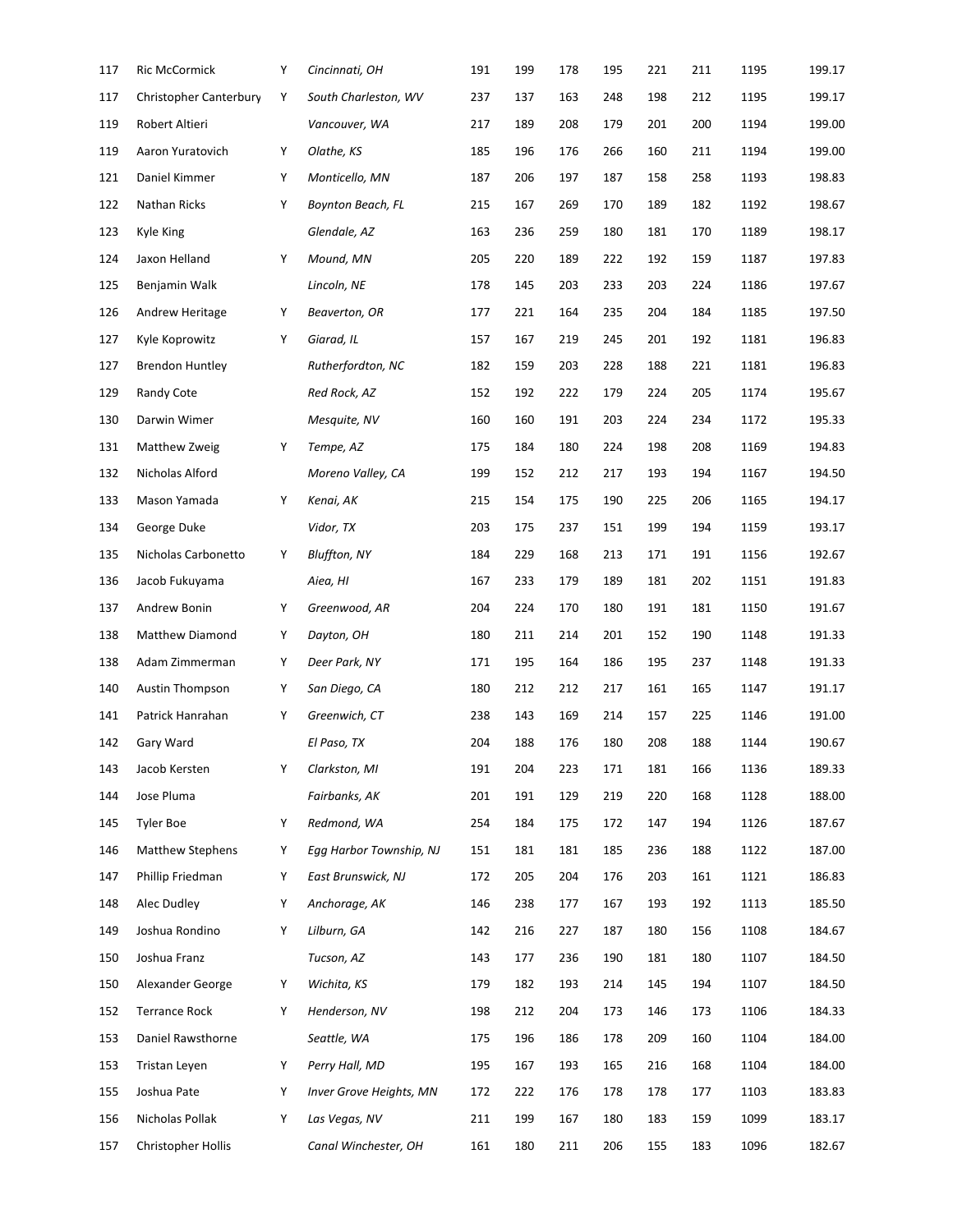| 117 | Ric McCormick                 | Υ | Cincinnati, OH                 | 191 | 199 | 178 | 195 | 221 | 211 | 1195 | 199.17 |
|-----|-------------------------------|---|--------------------------------|-----|-----|-----|-----|-----|-----|------|--------|
| 117 | <b>Christopher Canterbury</b> | Υ | South Charleston, WV           | 237 | 137 | 163 | 248 | 198 | 212 | 1195 | 199.17 |
| 119 | Robert Altieri                |   | Vancouver, WA                  | 217 | 189 | 208 | 179 | 201 | 200 | 1194 | 199.00 |
| 119 | Aaron Yuratovich              | Υ | Olathe, KS                     | 185 | 196 | 176 | 266 | 160 | 211 | 1194 | 199.00 |
| 121 | Daniel Kimmer                 | Υ | Monticello, MN                 | 187 | 206 | 197 | 187 | 158 | 258 | 1193 | 198.83 |
| 122 | Nathan Ricks                  | Υ | Boynton Beach, FL              | 215 | 167 | 269 | 170 | 189 | 182 | 1192 | 198.67 |
| 123 | Kyle King                     |   | Glendale, AZ                   | 163 | 236 | 259 | 180 | 181 | 170 | 1189 | 198.17 |
| 124 | Jaxon Helland                 | Y | Mound, MN                      | 205 | 220 | 189 | 222 | 192 | 159 | 1187 | 197.83 |
| 125 | Benjamin Walk                 |   | Lincoln, NE                    | 178 | 145 | 203 | 233 | 203 | 224 | 1186 | 197.67 |
| 126 | Andrew Heritage               | Y | Beaverton, OR                  | 177 | 221 | 164 | 235 | 204 | 184 | 1185 | 197.50 |
| 127 | Kyle Koprowitz                | Υ | Giarad, IL                     | 157 | 167 | 219 | 245 | 201 | 192 | 1181 | 196.83 |
| 127 | <b>Brendon Huntley</b>        |   | Rutherfordton, NC              | 182 | 159 | 203 | 228 | 188 | 221 | 1181 | 196.83 |
| 129 | Randy Cote                    |   | Red Rock, AZ                   | 152 | 192 | 222 | 179 | 224 | 205 | 1174 | 195.67 |
| 130 | Darwin Wimer                  |   | Mesquite, NV                   | 160 | 160 | 191 | 203 | 224 | 234 | 1172 | 195.33 |
| 131 | Matthew Zweig                 | Υ | Tempe, AZ                      | 175 | 184 | 180 | 224 | 198 | 208 | 1169 | 194.83 |
| 132 | Nicholas Alford               |   | Moreno Valley, CA              | 199 | 152 | 212 | 217 | 193 | 194 | 1167 | 194.50 |
| 133 | Mason Yamada                  | Y | Kenai, AK                      | 215 | 154 | 175 | 190 | 225 | 206 | 1165 | 194.17 |
| 134 | George Duke                   |   | Vidor, TX                      | 203 | 175 | 237 | 151 | 199 | 194 | 1159 | 193.17 |
| 135 | Nicholas Carbonetto           | Υ | <b>Bluffton, NY</b>            | 184 | 229 | 168 | 213 | 171 | 191 | 1156 | 192.67 |
| 136 | Jacob Fukuyama                |   | Aiea, HI                       | 167 | 233 | 179 | 189 | 181 | 202 | 1151 | 191.83 |
| 137 | Andrew Bonin                  | Υ | Greenwood, AR                  | 204 | 224 | 170 | 180 | 191 | 181 | 1150 | 191.67 |
| 138 | Matthew Diamond               | Υ | Dayton, OH                     | 180 | 211 | 214 | 201 | 152 | 190 | 1148 | 191.33 |
| 138 | Adam Zimmerman                | Υ | Deer Park, NY                  | 171 | 195 | 164 | 186 | 195 | 237 | 1148 | 191.33 |
| 140 | <b>Austin Thompson</b>        | Υ | San Diego, CA                  | 180 | 212 | 212 | 217 | 161 | 165 | 1147 | 191.17 |
| 141 | Patrick Hanrahan              | Y | Greenwich, CT                  | 238 | 143 | 169 | 214 | 157 | 225 | 1146 | 191.00 |
| 142 | Gary Ward                     |   | El Paso, TX                    | 204 | 188 | 176 | 180 | 208 | 188 | 1144 | 190.67 |
| 143 | Jacob Kersten                 | Υ | Clarkston, MI                  | 191 | 204 | 223 | 171 | 181 | 166 | 1136 | 189.33 |
| 144 | Jose Pluma                    |   | Fairbanks, AK                  | 201 | 191 | 129 | 219 | 220 | 168 | 1128 | 188.00 |
| 145 | <b>Tyler Boe</b>              | Y | Redmond, WA                    | 254 | 184 | 175 | 172 | 147 | 194 | 1126 | 187.67 |
| 146 | <b>Matthew Stephens</b>       | Y | Egg Harbor Township, NJ        | 151 | 181 | 181 | 185 | 236 | 188 | 1122 | 187.00 |
| 147 | Phillip Friedman              | Y | East Brunswick, NJ             | 172 | 205 | 204 | 176 | 203 | 161 | 1121 | 186.83 |
| 148 | Alec Dudley                   | Υ | Anchorage, AK                  | 146 | 238 | 177 | 167 | 193 | 192 | 1113 | 185.50 |
| 149 | Joshua Rondino                | Y | Lilburn, GA                    | 142 | 216 | 227 | 187 | 180 | 156 | 1108 | 184.67 |
| 150 | Joshua Franz                  |   | Tucson, AZ                     | 143 | 177 | 236 | 190 | 181 | 180 | 1107 | 184.50 |
| 150 | Alexander George              | Y | Wichita, KS                    | 179 | 182 | 193 | 214 | 145 | 194 | 1107 | 184.50 |
| 152 | <b>Terrance Rock</b>          | Y | Henderson, NV                  | 198 | 212 | 204 | 173 | 146 | 173 | 1106 | 184.33 |
| 153 | Daniel Rawsthorne             |   | Seattle, WA                    | 175 | 196 | 186 | 178 | 209 | 160 | 1104 | 184.00 |
| 153 | Tristan Leyen                 | Y | Perry Hall, MD                 | 195 | 167 | 193 | 165 | 216 | 168 | 1104 | 184.00 |
| 155 | Joshua Pate                   | Y | <b>Inver Grove Heights, MN</b> | 172 | 222 | 176 | 178 | 178 | 177 | 1103 | 183.83 |
| 156 | Nicholas Pollak               | Υ | Las Vegas, NV                  | 211 | 199 | 167 | 180 | 183 | 159 | 1099 | 183.17 |
| 157 | Christopher Hollis            |   | Canal Winchester, OH           | 161 | 180 | 211 | 206 | 155 | 183 | 1096 | 182.67 |